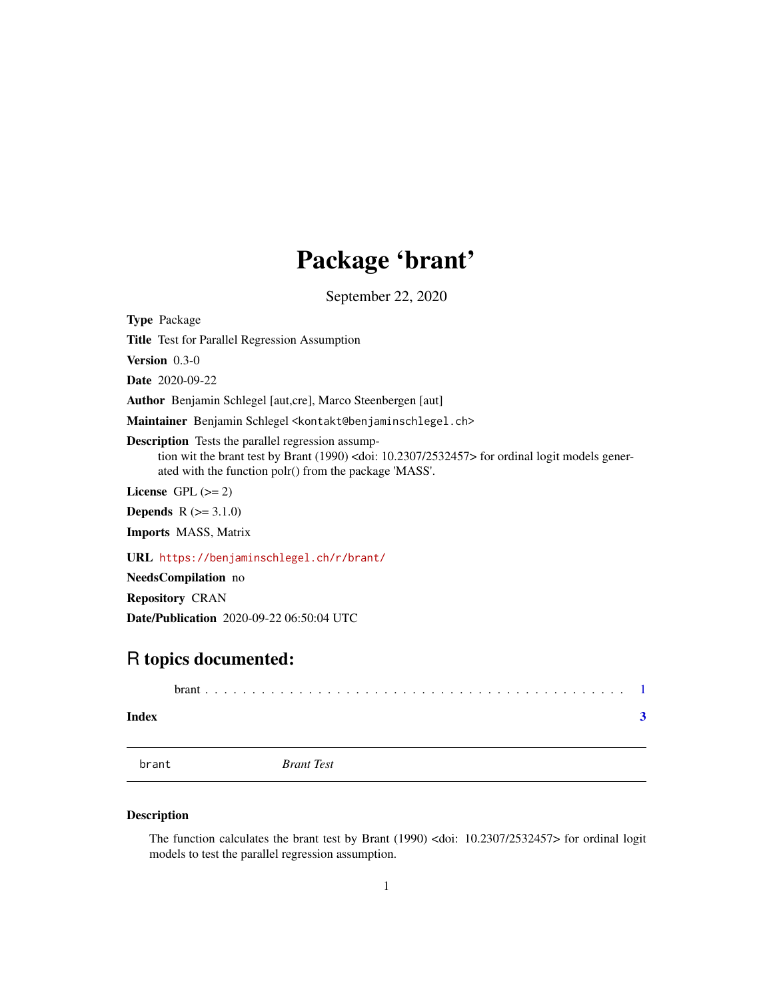## Package 'brant'

September 22, 2020

<span id="page-0-0"></span>Type Package Title Test for Parallel Regression Assumption Version 0.3-0 Date 2020-09-22 Author Benjamin Schlegel [aut,cre], Marco Steenbergen [aut] Maintainer Benjamin Schlegel <kontakt@benjaminschlegel.ch> Description Tests the parallel regression assumption wit the brant test by Brant (1990) <doi: 10.2307/2532457> for ordinal logit models generated with the function polr() from the package 'MASS'. License GPL  $(>= 2)$ **Depends**  $R (= 3.1.0)$ Imports MASS, Matrix URL <https://benjaminschlegel.ch/r/brant/>

NeedsCompilation no

Repository CRAN

Date/Publication 2020-09-22 06:50:04 UTC

### R topics documented:

| Index |  |                   |  |
|-------|--|-------------------|--|
| brant |  | <b>Brant Test</b> |  |

#### Description

The function calculates the brant test by Brant (1990) <doi: 10.2307/2532457> for ordinal logit models to test the parallel regression assumption.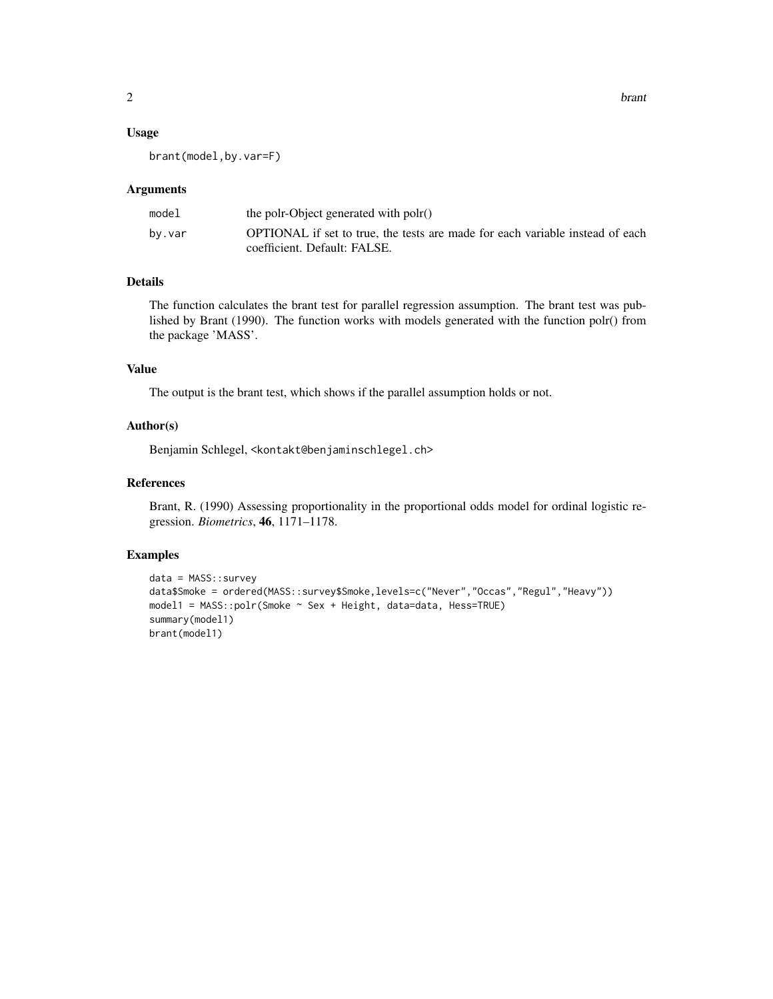#### Arguments

| model  | the polr-Object generated with polr()                                                                         |
|--------|---------------------------------------------------------------------------------------------------------------|
| by.var | OPTIONAL if set to true, the tests are made for each variable instead of each<br>coefficient. Default: FALSE. |

#### Details

The function calculates the brant test for parallel regression assumption. The brant test was published by Brant (1990). The function works with models generated with the function polr() from the package 'MASS'.

#### Value

The output is the brant test, which shows if the parallel assumption holds or not.

#### Author(s)

Benjamin Schlegel, <kontakt@benjaminschlegel.ch>

#### References

Brant, R. (1990) Assessing proportionality in the proportional odds model for ordinal logistic regression. *Biometrics*, 46, 1171–1178.

#### Examples

```
data = MASS::survey
data$Smoke = ordered(MASS::survey$Smoke,levels=c("Never","Occas","Regul","Heavy"))
model1 = MASS::polr(Smoke ~ Sex + Height, data=data, Hess=TRUE)
summary(model1)
brant(model1)
```